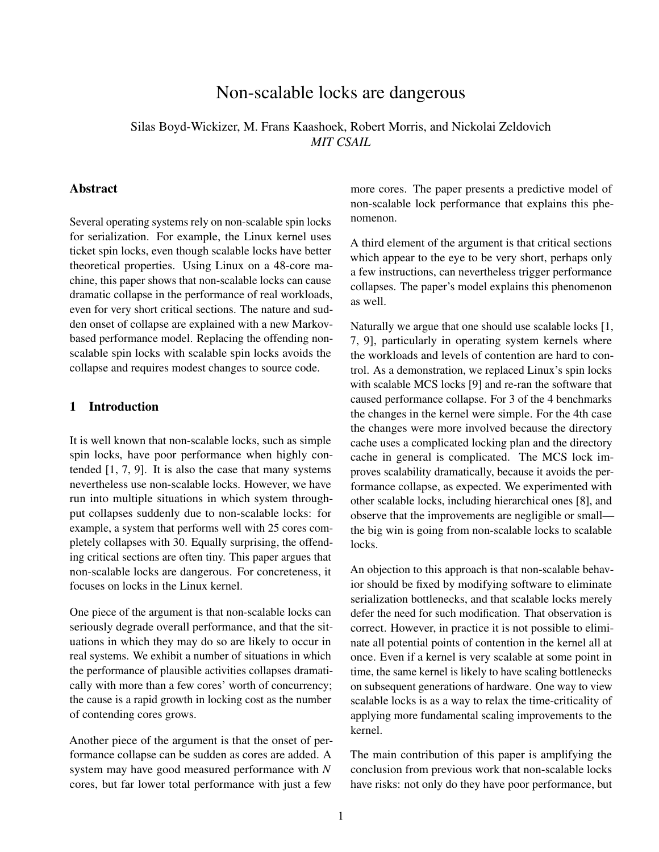# Non-scalable locks are dangerous

Silas Boyd-Wickizer, M. Frans Kaashoek, Robert Morris, and Nickolai Zeldovich *MIT CSAIL*

# Abstract

Several operating systems rely on non-scalable spin locks for serialization. For example, the Linux kernel uses ticket spin locks, even though scalable locks have better theoretical properties. Using Linux on a 48-core machine, this paper shows that non-scalable locks can cause dramatic collapse in the performance of real workloads, even for very short critical sections. The nature and sudden onset of collapse are explained with a new Markovbased performance model. Replacing the offending nonscalable spin locks with scalable spin locks avoids the collapse and requires modest changes to source code.

### 1 Introduction

It is well known that non-scalable locks, such as simple spin locks, have poor performance when highly contended  $[1, 7, 9]$  $[1, 7, 9]$  $[1, 7, 9]$  $[1, 7, 9]$  $[1, 7, 9]$ . It is also the case that many systems nevertheless use non-scalable locks. However, we have run into multiple situations in which system throughput collapses suddenly due to non-scalable locks: for example, a system that performs well with 25 cores completely collapses with 30. Equally surprising, the offending critical sections are often tiny. This paper argues that non-scalable locks are dangerous. For concreteness, it focuses on locks in the Linux kernel.

One piece of the argument is that non-scalable locks can seriously degrade overall performance, and that the situations in which they may do so are likely to occur in real systems. We exhibit a number of situations in which the performance of plausible activities collapses dramatically with more than a few cores' worth of concurrency; the cause is a rapid growth in locking cost as the number of contending cores grows.

Another piece of the argument is that the onset of performance collapse can be sudden as cores are added. A system may have good measured performance with *N* cores, but far lower total performance with just a few

more cores. The paper presents a predictive model of non-scalable lock performance that explains this phenomenon.

A third element of the argument is that critical sections which appear to the eye to be very short, perhaps only a few instructions, can nevertheless trigger performance collapses. The paper's model explains this phenomenon as well.

Naturally we argue that one should use scalable locks [\[1,](#page-11-0) [7,](#page-11-1) [9\]](#page-11-2), particularly in operating system kernels where the workloads and levels of contention are hard to control. As a demonstration, we replaced Linux's spin locks with scalable MCS locks [\[9\]](#page-11-2) and re-ran the software that caused performance collapse. For 3 of the 4 benchmarks the changes in the kernel were simple. For the 4th case the changes were more involved because the directory cache uses a complicated locking plan and the directory cache in general is complicated. The MCS lock improves scalability dramatically, because it avoids the performance collapse, as expected. We experimented with other scalable locks, including hierarchical ones [\[8\]](#page-11-3), and observe that the improvements are negligible or small the big win is going from non-scalable locks to scalable locks.

An objection to this approach is that non-scalable behavior should be fixed by modifying software to eliminate serialization bottlenecks, and that scalable locks merely defer the need for such modification. That observation is correct. However, in practice it is not possible to eliminate all potential points of contention in the kernel all at once. Even if a kernel is very scalable at some point in time, the same kernel is likely to have scaling bottlenecks on subsequent generations of hardware. One way to view scalable locks is as a way to relax the time-criticality of applying more fundamental scaling improvements to the kernel.

The main contribution of this paper is amplifying the conclusion from previous work that non-scalable locks have risks: not only do they have poor performance, but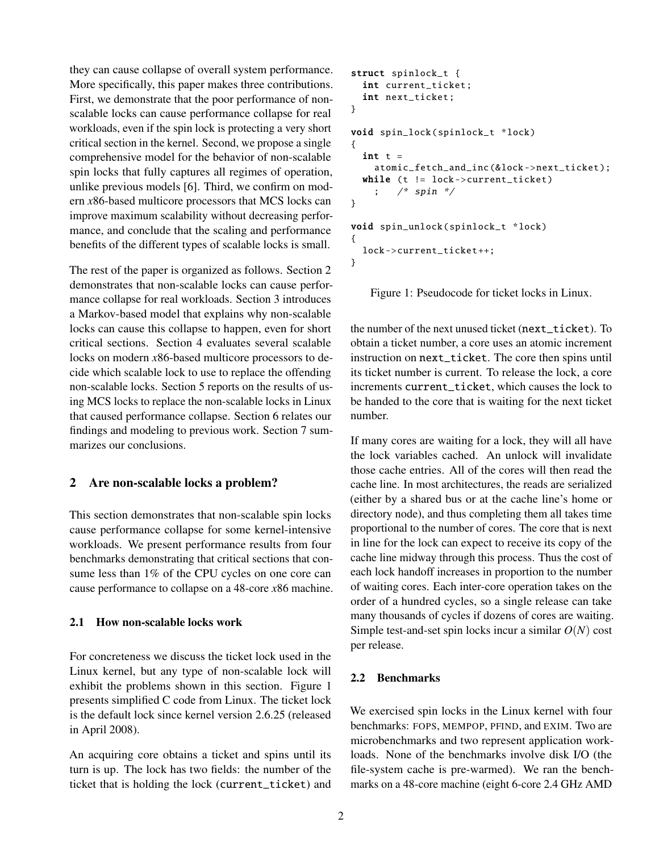they can cause collapse of overall system performance. More specifically, this paper makes three contributions. First, we demonstrate that the poor performance of nonscalable locks can cause performance collapse for real workloads, even if the spin lock is protecting a very short critical section in the kernel. Second, we propose a single comprehensive model for the behavior of non-scalable spin locks that fully captures all regimes of operation, unlike previous models [\[6\]](#page-11-4). Third, we confirm on modern *x*86-based multicore processors that MCS locks can improve maximum scalability without decreasing performance, and conclude that the scaling and performance benefits of the different types of scalable locks is small.

The rest of the paper is organized as follows. Section [2](#page-1-0) demonstrates that non-scalable locks can cause performance collapse for real workloads. Section [3](#page-4-0) introduces a Markov-based model that explains why non-scalable locks can cause this collapse to happen, even for short critical sections. Section [4](#page-7-0) evaluates several scalable locks on modern *x*86-based multicore processors to decide which scalable lock to use to replace the offending non-scalable locks. Section [5](#page-8-0) reports on the results of using MCS locks to replace the non-scalable locks in Linux that caused performance collapse. Section [6](#page-10-0) relates our findings and modeling to previous work. Section [7](#page-10-1) summarizes our conclusions.

# <span id="page-1-0"></span>2 Are non-scalable locks a problem?

This section demonstrates that non-scalable spin locks cause performance collapse for some kernel-intensive workloads. We present performance results from four benchmarks demonstrating that critical sections that consume less than 1% of the CPU cycles on one core can cause performance to collapse on a 48-core *x*86 machine.

# 2.1 How non-scalable locks work

For concreteness we discuss the ticket lock used in the Linux kernel, but any type of non-scalable lock will exhibit the problems shown in this section. Figure [1](#page-1-1) presents simplified C code from Linux. The ticket lock is the default lock since kernel version 2.6.25 (released in April 2008).

An acquiring core obtains a ticket and spins until its turn is up. The lock has two fields: the number of the ticket that is holding the lock (current\_ticket) and

```
struct spinlock_t {
  int current_ticket ;
  int next_ticket ;
}
void spin_lock ( spinlock_t *lock)
{
  int t =atomic_fetch_and_inc (&lock -> next_ticket );
  while (t != lock->current_ticket)
    ; /* spin */
}
void spin_unlock ( spinlock_t *lock)
{
  lock -> current_ticket ++;
}
```
<span id="page-1-1"></span>Figure 1: Pseudocode for ticket locks in Linux.

the number of the next unused ticket (next\_ticket). To obtain a ticket number, a core uses an atomic increment instruction on next ticket. The core then spins until its ticket number is current. To release the lock, a core increments current ticket, which causes the lock to be handed to the core that is waiting for the next ticket number.

If many cores are waiting for a lock, they will all have the lock variables cached. An unlock will invalidate those cache entries. All of the cores will then read the cache line. In most architectures, the reads are serialized (either by a shared bus or at the cache line's home or directory node), and thus completing them all takes time proportional to the number of cores. The core that is next in line for the lock can expect to receive its copy of the cache line midway through this process. Thus the cost of each lock handoff increases in proportion to the number of waiting cores. Each inter-core operation takes on the order of a hundred cycles, so a single release can take many thousands of cycles if dozens of cores are waiting. Simple test-and-set spin locks incur a similar *O*(*N*) cost per release.

# 2.2 Benchmarks

We exercised spin locks in the Linux kernel with four benchmarks: FOPS, MEMPOP, PFIND, and EXIM. Two are microbenchmarks and two represent application workloads. None of the benchmarks involve disk I/O (the file-system cache is pre-warmed). We ran the benchmarks on a 48-core machine (eight 6-core 2.4 GHz AMD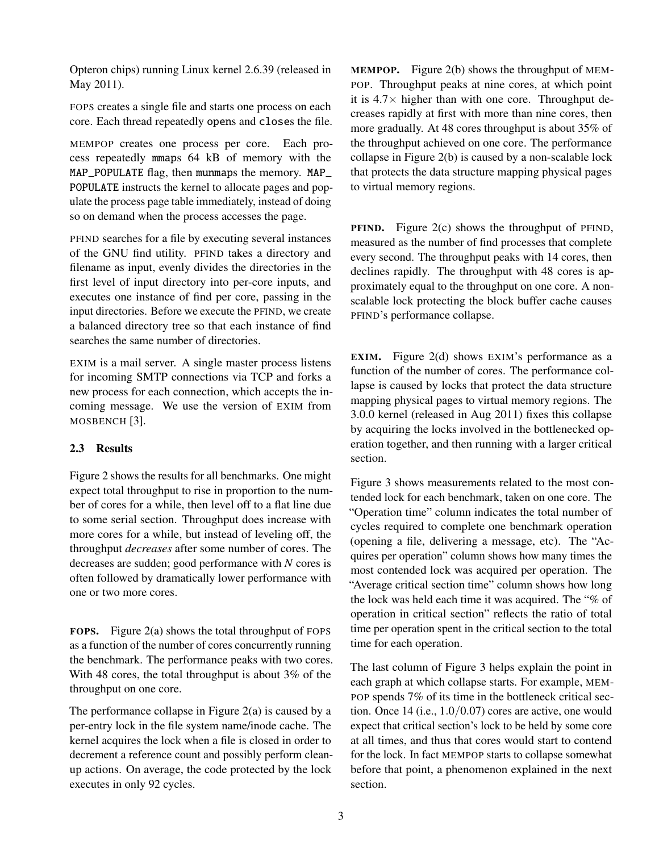Opteron chips) running Linux kernel 2.6.39 (released in May 2011).

FOPS creates a single file and starts one process on each core. Each thread repeatedly opens and closes the file.

MEMPOP creates one process per core. Each process repeatedly mmaps 64 kB of memory with the MAP\_POPULATE flag, then munmaps the memory. MAP\_ POPULATE instructs the kernel to allocate pages and populate the process page table immediately, instead of doing so on demand when the process accesses the page.

PFIND searches for a file by executing several instances of the GNU find utility. PFIND takes a directory and filename as input, evenly divides the directories in the first level of input directory into per-core inputs, and executes one instance of find per core, passing in the input directories. Before we execute the PFIND, we create a balanced directory tree so that each instance of find searches the same number of directories.

EXIM is a mail server. A single master process listens for incoming SMTP connections via TCP and forks a new process for each connection, which accepts the incoming message. We use the version of EXIM from MOSBENCH [\[3\]](#page-11-5).

#### 2.3 Results

Figure [2](#page-3-0) shows the results for all benchmarks. One might expect total throughput to rise in proportion to the number of cores for a while, then level off to a flat line due to some serial section. Throughput does increase with more cores for a while, but instead of leveling off, the throughput *decreases* after some number of cores. The decreases are sudden; good performance with *N* cores is often followed by dramatically lower performance with one or two more cores.

FOPS. Figure [2\(a\)](#page-3-1) shows the total throughput of FOPS as a function of the number of cores concurrently running the benchmark. The performance peaks with two cores. With 48 cores, the total throughput is about 3% of the throughput on one core.

The performance collapse in Figure  $2(a)$  is caused by a per-entry lock in the file system name/inode cache. The kernel acquires the lock when a file is closed in order to decrement a reference count and possibly perform cleanup actions. On average, the code protected by the lock executes in only 92 cycles.

MEMPOP. Figure [2\(b\)](#page-3-2) shows the throughput of MEM-POP. Throughput peaks at nine cores, at which point it is  $4.7\times$  higher than with one core. Throughput decreases rapidly at first with more than nine cores, then more gradually. At 48 cores throughput is about 35% of the throughput achieved on one core. The performance collapse in Figure [2\(b\)](#page-3-2) is caused by a non-scalable lock that protects the data structure mapping physical pages to virtual memory regions.

PFIND. Figure [2\(c\)](#page-3-3) shows the throughput of PFIND, measured as the number of find processes that complete every second. The throughput peaks with 14 cores, then declines rapidly. The throughput with 48 cores is approximately equal to the throughput on one core. A nonscalable lock protecting the block buffer cache causes PFIND's performance collapse.

EXIM. Figure [2\(d\)](#page-3-4) shows EXIM's performance as a function of the number of cores. The performance collapse is caused by locks that protect the data structure mapping physical pages to virtual memory regions. The 3.0.0 kernel (released in Aug 2011) fixes this collapse by acquiring the locks involved in the bottlenecked operation together, and then running with a larger critical section.

Figure [3](#page-3-5) shows measurements related to the most contended lock for each benchmark, taken on one core. The "Operation time" column indicates the total number of cycles required to complete one benchmark operation (opening a file, delivering a message, etc). The "Acquires per operation" column shows how many times the most contended lock was acquired per operation. The "Average critical section time" column shows how long the lock was held each time it was acquired. The "% of operation in critical section" reflects the ratio of total time per operation spent in the critical section to the total time for each operation.

The last column of Figure [3](#page-3-5) helps explain the point in each graph at which collapse starts. For example, MEM-POP spends 7% of its time in the bottleneck critical section. Once 14 (i.e., 1.0/0.07) cores are active, one would expect that critical section's lock to be held by some core at all times, and thus that cores would start to contend for the lock. In fact MEMPOP starts to collapse somewhat before that point, a phenomenon explained in the next section.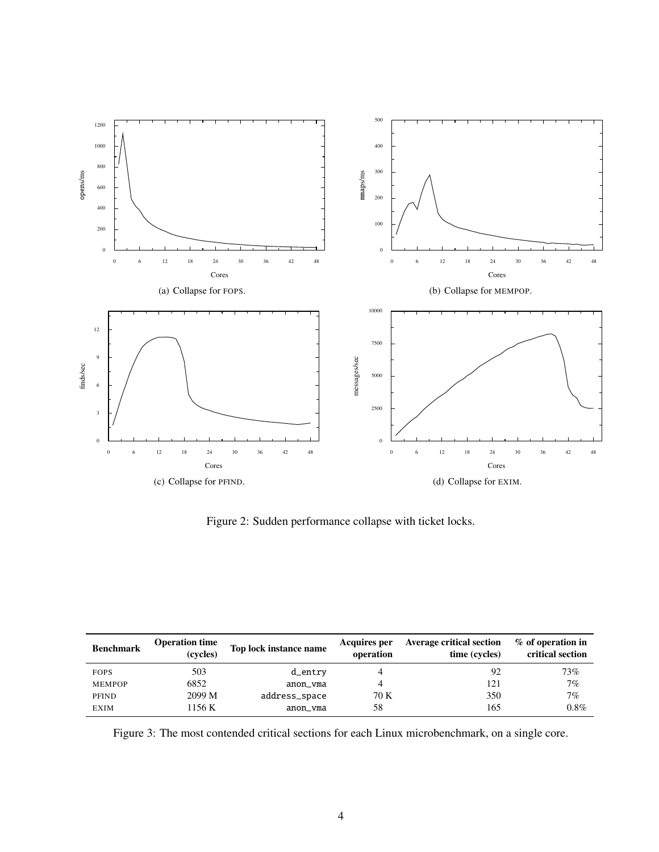<span id="page-3-1"></span>

<span id="page-3-4"></span><span id="page-3-3"></span><span id="page-3-2"></span><span id="page-3-0"></span>Figure 2: Sudden performance collapse with ticket locks.

| <b>Benchmark</b> | <b>Operation time</b><br>(cycles) | Top lock instance name | Acquires per<br>operation | <b>Average critical section</b><br>time (cycles) | % of operation in<br>critical section |
|------------------|-----------------------------------|------------------------|---------------------------|--------------------------------------------------|---------------------------------------|
| <b>FOPS</b>      | 503                               | d_entry                |                           | 92                                               | 73%                                   |
| <b>MEMPOP</b>    | 6852                              | anon_vma               |                           | 121                                              | 7%                                    |
| PFIND            | 2099 M                            | address_space          | 70 K                      | 350                                              | 7%                                    |
| <b>EXIM</b>      | 1156 K                            | anon yma               | 58                        | 165                                              | $0.8\%$                               |

<span id="page-3-5"></span>Figure 3: The most contended critical sections for each Linux microbenchmark, on a single core.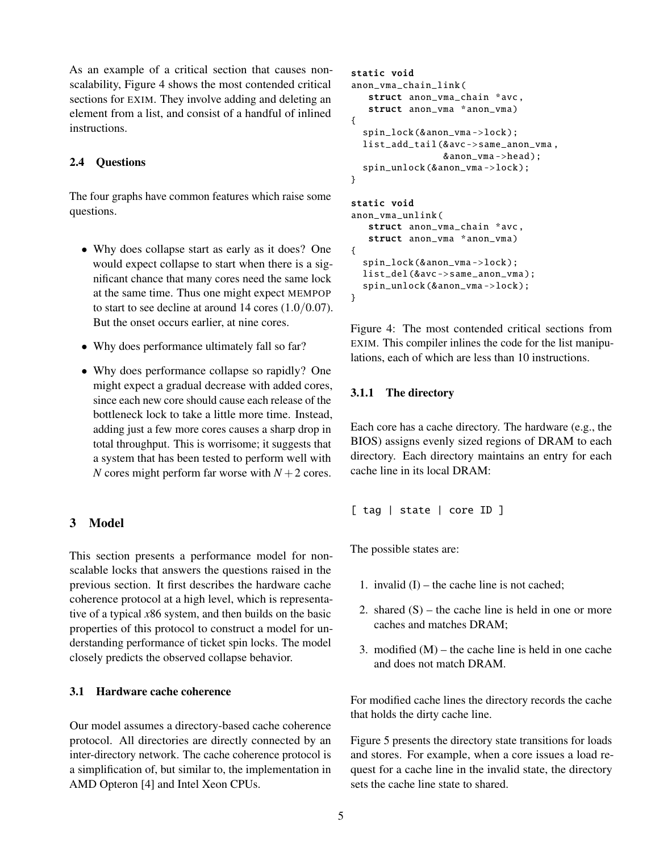As an example of a critical section that causes nonscalability, Figure [4](#page-4-1) shows the most contended critical sections for EXIM. They involve adding and deleting an element from a list, and consist of a handful of inlined instructions.

# 2.4 Questions

The four graphs have common features which raise some questions.

- Why does collapse start as early as it does? One would expect collapse to start when there is a significant chance that many cores need the same lock at the same time. Thus one might expect MEMPOP to start to see decline at around 14 cores (1.0/0.07). But the onset occurs earlier, at nine cores.
- Why does performance ultimately fall so far?
- Why does performance collapse so rapidly? One might expect a gradual decrease with added cores, since each new core should cause each release of the bottleneck lock to take a little more time. Instead, adding just a few more cores causes a sharp drop in total throughput. This is worrisome; it suggests that a system that has been tested to perform well with *N* cores might perform far worse with  $N + 2$  cores.

# <span id="page-4-0"></span>3 Model

This section presents a performance model for nonscalable locks that answers the questions raised in the previous section. It first describes the hardware cache coherence protocol at a high level, which is representative of a typical *x*86 system, and then builds on the basic properties of this protocol to construct a model for understanding performance of ticket spin locks. The model closely predicts the observed collapse behavior.

# 3.1 Hardware cache coherence

Our model assumes a directory-based cache coherence protocol. All directories are directly connected by an inter-directory network. The cache coherence protocol is a simplification of, but similar to, the implementation in AMD Opteron [\[4\]](#page-11-6) and Intel Xeon CPUs.

```
static void
anon_vma_chain_link (
   struct anon_vma_chain *avc ,
   struct anon_vma *anon_vma)
{
  spin_lock (& anon_vma ->lock);
  list_add_tail (&avc ->same_anon_vma ,
                 &anon_vma ->head );
  spin_unlock (& anon_vma ->lock );
}
static void
anon_vma_unlink (
   struct anon_vma_chain *avc ,
   struct anon_vma *anon_vma)
{
  spin_lock (& anon_vma ->lock );
  list_del (&avc -> same_anon_vma );
  spin_unlock (& anon_vma ->lock );
}
```
<span id="page-4-1"></span>Figure 4: The most contended critical sections from EXIM. This compiler inlines the code for the list manipulations, each of which are less than 10 instructions.

#### 3.1.1 The directory

Each core has a cache directory. The hardware (e.g., the BIOS) assigns evenly sized regions of DRAM to each directory. Each directory maintains an entry for each cache line in its local DRAM:

[ tag | state | core ID ]

The possible states are:

- 1. invalid  $(I)$  the cache line is not cached;
- 2. shared  $(S)$  the cache line is held in one or more caches and matches DRAM;
- 3. modified  $(M)$  the cache line is held in one cache and does not match DRAM.

For modified cache lines the directory records the cache that holds the dirty cache line.

Figure [5](#page-5-0) presents the directory state transitions for loads and stores. For example, when a core issues a load request for a cache line in the invalid state, the directory sets the cache line state to shared.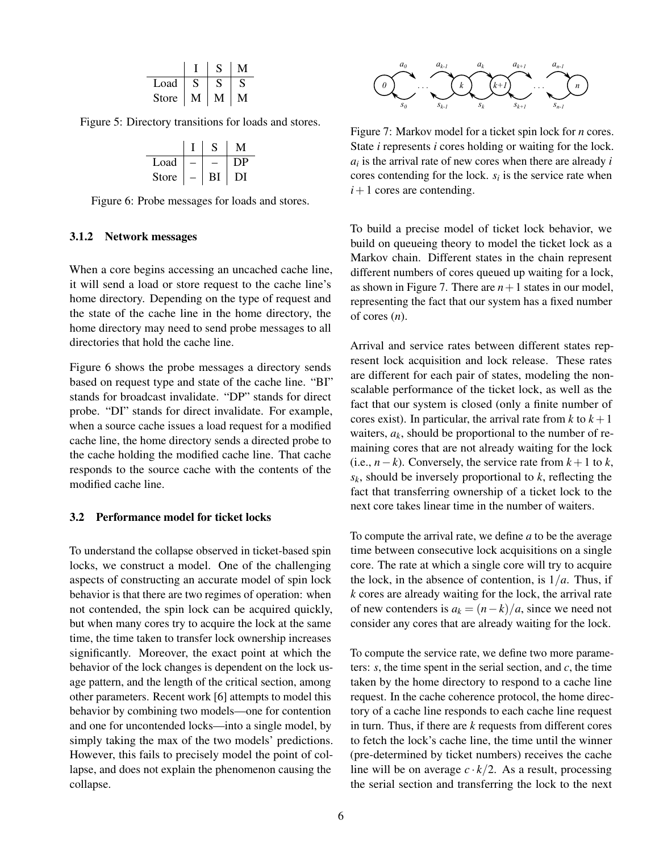| Load         |  |  |
|--------------|--|--|
| <b>Store</b> |  |  |

Figure 5: Directory transitions for loads and stores.

<span id="page-5-0"></span>

| Load  |    |      |
|-------|----|------|
| Store | ВI | 1) L |

<span id="page-5-1"></span>Figure 6: Probe messages for loads and stores.

#### 3.1.2 Network messages

When a core begins accessing an uncached cache line, it will send a load or store request to the cache line's home directory. Depending on the type of request and the state of the cache line in the home directory, the home directory may need to send probe messages to all directories that hold the cache line.

Figure [6](#page-5-1) shows the probe messages a directory sends based on request type and state of the cache line. "BI" stands for broadcast invalidate. "DP" stands for direct probe. "DI" stands for direct invalidate. For example, when a source cache issues a load request for a modified cache line, the home directory sends a directed probe to the cache holding the modified cache line. That cache responds to the source cache with the contents of the modified cache line.

#### 3.2 Performance model for ticket locks

To understand the collapse observed in ticket-based spin locks, we construct a model. One of the challenging aspects of constructing an accurate model of spin lock behavior is that there are two regimes of operation: when not contended, the spin lock can be acquired quickly, but when many cores try to acquire the lock at the same time, the time taken to transfer lock ownership increases significantly. Moreover, the exact point at which the behavior of the lock changes is dependent on the lock usage pattern, and the length of the critical section, among other parameters. Recent work [\[6\]](#page-11-4) attempts to model this behavior by combining two models—one for contention and one for uncontended locks—into a single model, by simply taking the max of the two models' predictions. However, this fails to precisely model the point of collapse, and does not explain the phenomenon causing the collapse.



<span id="page-5-2"></span>Figure 7: Markov model for a ticket spin lock for *n* cores. State *i* represents *i* cores holding or waiting for the lock. *ai* is the arrival rate of new cores when there are already *i* cores contending for the lock.  $s_i$  is the service rate when  $i+1$  cores are contending.

To build a precise model of ticket lock behavior, we build on queueing theory to model the ticket lock as a Markov chain. Different states in the chain represent different numbers of cores queued up waiting for a lock, as shown in Figure [7.](#page-5-2) There are  $n+1$  states in our model, representing the fact that our system has a fixed number of cores (*n*).

Arrival and service rates between different states represent lock acquisition and lock release. These rates are different for each pair of states, modeling the nonscalable performance of the ticket lock, as well as the fact that our system is closed (only a finite number of cores exist). In particular, the arrival rate from  $k$  to  $k+1$ waiters,  $a_k$ , should be proportional to the number of remaining cores that are not already waiting for the lock (i.e.,  $n-k$ ). Conversely, the service rate from  $k+1$  to  $k$ , *sk*, should be inversely proportional to *k*, reflecting the fact that transferring ownership of a ticket lock to the next core takes linear time in the number of waiters.

To compute the arrival rate, we define *a* to be the average time between consecutive lock acquisitions on a single core. The rate at which a single core will try to acquire the lock, in the absence of contention, is  $1/a$ . Thus, if *k* cores are already waiting for the lock, the arrival rate of new contenders is  $a_k = (n-k)/a$ , since we need not consider any cores that are already waiting for the lock.

To compute the service rate, we define two more parameters: *s*, the time spent in the serial section, and *c*, the time taken by the home directory to respond to a cache line request. In the cache coherence protocol, the home directory of a cache line responds to each cache line request in turn. Thus, if there are *k* requests from different cores to fetch the lock's cache line, the time until the winner (pre-determined by ticket numbers) receives the cache line will be on average  $c \cdot k/2$ . As a result, processing the serial section and transferring the lock to the next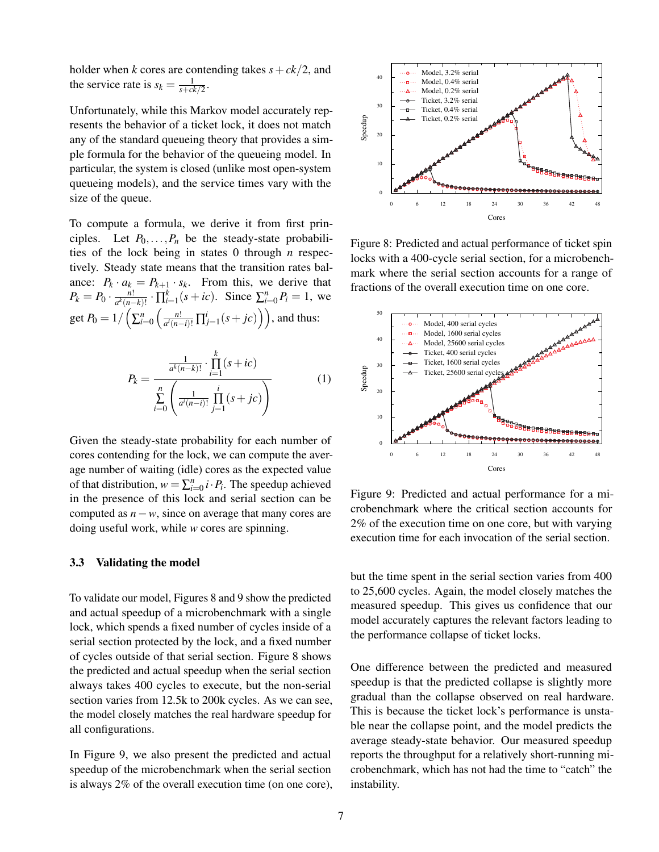holder when *k* cores are contending takes  $s + ck/2$ , and the service rate is  $s_k = \frac{1}{s + ck/2}$ .

Unfortunately, while this Markov model accurately represents the behavior of a ticket lock, it does not match any of the standard queueing theory that provides a simple formula for the behavior of the queueing model. In particular, the system is closed (unlike most open-system queueing models), and the service times vary with the size of the queue.

To compute a formula, we derive it from first principles. Let  $P_0$ ,..., $P_n$  be the steady-state probabilities of the lock being in states 0 through *n* respectively. Steady state means that the transition rates balance:  $P_k \cdot a_k = P_{k+1} \cdot s_k$ . From this, we derive that  $P_k = P_0 \cdot \frac{n!}{a^k(n-1)!}$  $\frac{n!}{a^k(n-k)!}$  ·  $\prod_{i=1}^k (s + ic)$ . Since  $\sum_{i=0}^n P_i = 1$ , we get  $P_0 = 1 / \left( \sum_{i=0}^n \left( \frac{n!}{a^i (n-i)!} \right) \right)$  $\left( \frac{n!}{a^i(n-i)!} \prod_{j=1}^i (s + jc) \right)$ , and thus:

$$
P_k = \frac{\frac{1}{a^k(n-k)!} \cdot \prod_{i=1}^k (s+ic)}{\sum_{i=0}^n \left(\frac{1}{a^i(n-i)!} \prod_{j=1}^i (s+jc)\right)}
$$
(1)

Given the steady-state probability for each number of cores contending for the lock, we can compute the average number of waiting (idle) cores as the expected value of that distribution,  $w = \sum_{i=0}^{n} i \cdot P_i$ . The speedup achieved in the presence of this lock and serial section can be computed as *n*−*w*, since on average that many cores are doing useful work, while *w* cores are spinning.

#### 3.3 Validating the model

To validate our model, Figures [8](#page-6-0) and [9](#page-6-1) show the predicted and actual speedup of a microbenchmark with a single lock, which spends a fixed number of cycles inside of a serial section protected by the lock, and a fixed number of cycles outside of that serial section. Figure [8](#page-6-0) shows the predicted and actual speedup when the serial section always takes 400 cycles to execute, but the non-serial section varies from 12.5k to 200k cycles. As we can see, the model closely matches the real hardware speedup for all configurations.

In Figure [9,](#page-6-1) we also present the predicted and actual speedup of the microbenchmark when the serial section is always 2% of the overall execution time (on one core),



<span id="page-6-0"></span>Figure 8: Predicted and actual performance of ticket spin locks with a 400-cycle serial section, for a microbenchmark where the serial section accounts for a range of fractions of the overall execution time on one core.



<span id="page-6-1"></span>Figure 9: Predicted and actual performance for a microbenchmark where the critical section accounts for 2% of the execution time on one core, but with varying execution time for each invocation of the serial section.

but the time spent in the serial section varies from 400 to 25,600 cycles. Again, the model closely matches the measured speedup. This gives us confidence that our model accurately captures the relevant factors leading to the performance collapse of ticket locks.

One difference between the predicted and measured speedup is that the predicted collapse is slightly more gradual than the collapse observed on real hardware. This is because the ticket lock's performance is unstable near the collapse point, and the model predicts the average steady-state behavior. Our measured speedup reports the throughput for a relatively short-running microbenchmark, which has not had the time to "catch" the instability.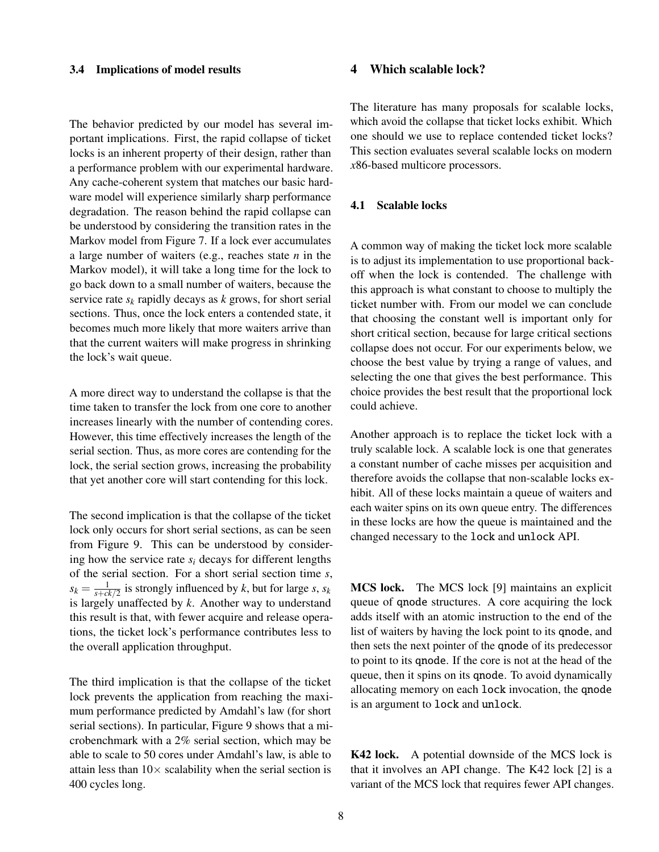#### 3.4 Implications of model results

The behavior predicted by our model has several important implications. First, the rapid collapse of ticket locks is an inherent property of their design, rather than a performance problem with our experimental hardware. Any cache-coherent system that matches our basic hardware model will experience similarly sharp performance degradation. The reason behind the rapid collapse can be understood by considering the transition rates in the Markov model from Figure [7.](#page-5-2) If a lock ever accumulates a large number of waiters (e.g., reaches state *n* in the Markov model), it will take a long time for the lock to go back down to a small number of waiters, because the service rate  $s_k$  rapidly decays as  $k$  grows, for short serial sections. Thus, once the lock enters a contended state, it becomes much more likely that more waiters arrive than that the current waiters will make progress in shrinking the lock's wait queue.

A more direct way to understand the collapse is that the time taken to transfer the lock from one core to another increases linearly with the number of contending cores. However, this time effectively increases the length of the serial section. Thus, as more cores are contending for the lock, the serial section grows, increasing the probability that yet another core will start contending for this lock.

The second implication is that the collapse of the ticket lock only occurs for short serial sections, as can be seen from Figure [9.](#page-6-1) This can be understood by considering how the service rate  $s_i$  decays for different lengths of the serial section. For a short serial section time *s*,  $s_k = \frac{1}{s + ck/2}$  is strongly influenced by *k*, but for large *s*, *s*<sub>*k*</sub> is largely unaffected by *k*. Another way to understand this result is that, with fewer acquire and release operations, the ticket lock's performance contributes less to the overall application throughput.

The third implication is that the collapse of the ticket lock prevents the application from reaching the maximum performance predicted by Amdahl's law (for short serial sections). In particular, Figure [9](#page-6-1) shows that a microbenchmark with a 2% serial section, which may be able to scale to 50 cores under Amdahl's law, is able to attain less than  $10\times$  scalability when the serial section is 400 cycles long.

#### <span id="page-7-0"></span>4 Which scalable lock?

The literature has many proposals for scalable locks, which avoid the collapse that ticket locks exhibit. Which one should we use to replace contended ticket locks? This section evaluates several scalable locks on modern *x*86-based multicore processors.

#### 4.1 Scalable locks

A common way of making the ticket lock more scalable is to adjust its implementation to use proportional backoff when the lock is contended. The challenge with this approach is what constant to choose to multiply the ticket number with. From our model we can conclude that choosing the constant well is important only for short critical section, because for large critical sections collapse does not occur. For our experiments below, we choose the best value by trying a range of values, and selecting the one that gives the best performance. This choice provides the best result that the proportional lock could achieve.

Another approach is to replace the ticket lock with a truly scalable lock. A scalable lock is one that generates a constant number of cache misses per acquisition and therefore avoids the collapse that non-scalable locks exhibit. All of these locks maintain a queue of waiters and each waiter spins on its own queue entry. The differences in these locks are how the queue is maintained and the changed necessary to the lock and unlock API.

MCS lock. The MCS lock [\[9\]](#page-11-2) maintains an explicit queue of qnode structures. A core acquiring the lock adds itself with an atomic instruction to the end of the list of waiters by having the lock point to its qnode, and then sets the next pointer of the qnode of its predecessor to point to its qnode. If the core is not at the head of the queue, then it spins on its qnode. To avoid dynamically allocating memory on each lock invocation, the qnode is an argument to lock and unlock.

K42 lock. A potential downside of the MCS lock is that it involves an API change. The K42 lock [\[2\]](#page-11-7) is a variant of the MCS lock that requires fewer API changes.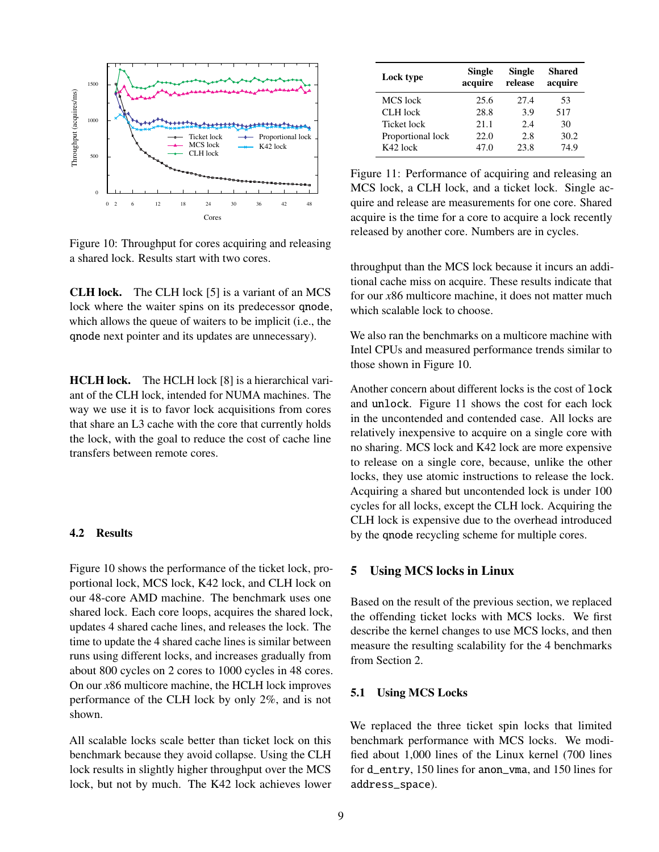

<span id="page-8-1"></span>Figure 10: Throughput for cores acquiring and releasing a shared lock. Results start with two cores.

CLH lock. The CLH lock [\[5\]](#page-11-8) is a variant of an MCS lock where the waiter spins on its predecessor qnode, which allows the queue of waiters to be implicit (i.e., the qnode next pointer and its updates are unnecessary).

HCLH lock. The HCLH lock [\[8\]](#page-11-3) is a hierarchical variant of the CLH lock, intended for NUMA machines. The way we use it is to favor lock acquisitions from cores that share an L3 cache with the core that currently holds the lock, with the goal to reduce the cost of cache line transfers between remote cores.

#### 4.2 Results

Figure [10](#page-8-1) shows the performance of the ticket lock, proportional lock, MCS lock, K42 lock, and CLH lock on our 48-core AMD machine. The benchmark uses one shared lock. Each core loops, acquires the shared lock, updates 4 shared cache lines, and releases the lock. The time to update the 4 shared cache lines is similar between runs using different locks, and increases gradually from about 800 cycles on 2 cores to 1000 cycles in 48 cores. On our *x*86 multicore machine, the HCLH lock improves performance of the CLH lock by only 2%, and is not shown.

All scalable locks scale better than ticket lock on this benchmark because they avoid collapse. Using the CLH lock results in slightly higher throughput over the MCS lock, but not by much. The K42 lock achieves lower

| Lock type         | Single<br>acquire | Single<br>release | Shared<br>acquire |
|-------------------|-------------------|-------------------|-------------------|
| MCS lock          | 25.6              | 27.4              | 53                |
| CLH lock          | 28.8              | 3.9               | 517               |
| Ticket lock       | 21.1              | 2.4               | 30                |
| Proportional lock | 22.0              | 2.8               | 30.2              |
| K42 lock          | 47.0              | 23.8              | 74.9              |

<span id="page-8-2"></span>Figure 11: Performance of acquiring and releasing an MCS lock, a CLH lock, and a ticket lock. Single acquire and release are measurements for one core. Shared acquire is the time for a core to acquire a lock recently released by another core. Numbers are in cycles.

throughput than the MCS lock because it incurs an additional cache miss on acquire. These results indicate that for our *x*86 multicore machine, it does not matter much which scalable lock to choose.

We also ran the benchmarks on a multicore machine with Intel CPUs and measured performance trends similar to those shown in Figure [10.](#page-8-1)

Another concern about different locks is the cost of lock and unlock. Figure [11](#page-8-2) shows the cost for each lock in the uncontended and contended case. All locks are relatively inexpensive to acquire on a single core with no sharing. MCS lock and K42 lock are more expensive to release on a single core, because, unlike the other locks, they use atomic instructions to release the lock. Acquiring a shared but uncontended lock is under 100 cycles for all locks, except the CLH lock. Acquiring the CLH lock is expensive due to the overhead introduced by the qnode recycling scheme for multiple cores.

#### <span id="page-8-0"></span>5 Using MCS locks in Linux

Based on the result of the previous section, we replaced the offending ticket locks with MCS locks. We first describe the kernel changes to use MCS locks, and then measure the resulting scalability for the 4 benchmarks from Section [2.](#page-1-0)

#### 5.1 Using MCS Locks

We replaced the three ticket spin locks that limited benchmark performance with MCS locks. We modified about 1,000 lines of the Linux kernel (700 lines for d\_entry, 150 lines for anon\_vma, and 150 lines for address\_space).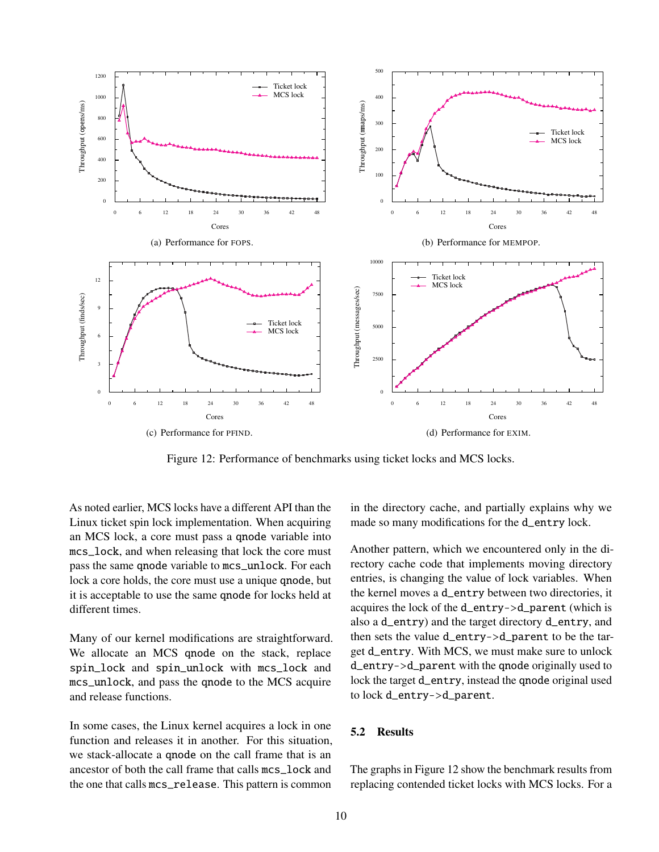<span id="page-9-1"></span>

<span id="page-9-0"></span>Figure 12: Performance of benchmarks using ticket locks and MCS locks.

<span id="page-9-3"></span>As noted earlier, MCS locks have a different API than the Linux ticket spin lock implementation. When acquiring an MCS lock, a core must pass a qnode variable into mcs\_lock, and when releasing that lock the core must pass the same qnode variable to mcs\_unlock. For each lock a core holds, the core must use a unique qnode, but it is acceptable to use the same qnode for locks held at different times.

Many of our kernel modifications are straightforward. We allocate an MCS qnode on the stack, replace spin\_lock and spin\_unlock with mcs\_lock and mcs\_unlock, and pass the qnode to the MCS acquire and release functions.

In some cases, the Linux kernel acquires a lock in one function and releases it in another. For this situation, we stack-allocate a qnode on the call frame that is an ancestor of both the call frame that calls mcs\_lock and the one that calls mcs\_release. This pattern is common

<span id="page-9-4"></span><span id="page-9-2"></span>in the directory cache, and partially explains why we made so many modifications for the d\_entry lock.

Another pattern, which we encountered only in the directory cache code that implements moving directory entries, is changing the value of lock variables. When the kernel moves a d\_entry between two directories, it acquires the lock of the d\_entry->d\_parent (which is also a d\_entry) and the target directory d\_entry, and then sets the value d\_entry->d\_parent to be the target d\_entry. With MCS, we must make sure to unlock d\_entry->d\_parent with the qnode originally used to lock the target d\_entry, instead the qnode original used to lock d\_entry->d\_parent.

#### 5.2 Results

The graphs in Figure [12](#page-9-0) show the benchmark results from replacing contended ticket locks with MCS locks. For a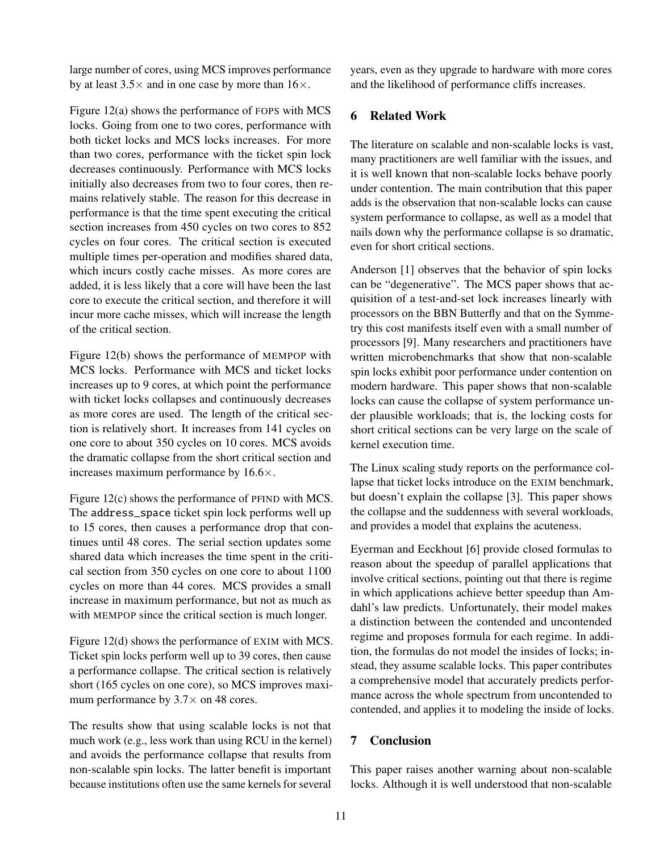large number of cores, using MCS improves performance by at least  $3.5 \times$  and in one case by more than  $16 \times$ .

Figure [12\(a\)](#page-9-1) shows the performance of FOPS with MCS locks. Going from one to two cores, performance with both ticket locks and MCS locks increases. For more than two cores, performance with the ticket spin lock decreases continuously. Performance with MCS locks initially also decreases from two to four cores, then remains relatively stable. The reason for this decrease in performance is that the time spent executing the critical section increases from 450 cycles on two cores to 852 cycles on four cores. The critical section is executed multiple times per-operation and modifies shared data, which incurs costly cache misses. As more cores are added, it is less likely that a core will have been the last core to execute the critical section, and therefore it will incur more cache misses, which will increase the length of the critical section.

Figure [12\(b\)](#page-9-2) shows the performance of MEMPOP with MCS locks. Performance with MCS and ticket locks increases up to 9 cores, at which point the performance with ticket locks collapses and continuously decreases as more cores are used. The length of the critical section is relatively short. It increases from 141 cycles on one core to about 350 cycles on 10 cores. MCS avoids the dramatic collapse from the short critical section and increases maximum performance by 16.6×.

Figure [12\(c\)](#page-9-3) shows the performance of PFIND with MCS. The address\_space ticket spin lock performs well up to 15 cores, then causes a performance drop that continues until 48 cores. The serial section updates some shared data which increases the time spent in the critical section from 350 cycles on one core to about 1100 cycles on more than 44 cores. MCS provides a small increase in maximum performance, but not as much as with MEMPOP since the critical section is much longer.

Figure [12\(d\)](#page-9-4) shows the performance of EXIM with MCS. Ticket spin locks perform well up to 39 cores, then cause a performance collapse. The critical section is relatively short (165 cycles on one core), so MCS improves maximum performance by  $3.7\times$  on 48 cores.

The results show that using scalable locks is not that much work (e.g., less work than using RCU in the kernel) and avoids the performance collapse that results from non-scalable spin locks. The latter benefit is important because institutions often use the same kernels for several years, even as they upgrade to hardware with more cores and the likelihood of performance cliffs increases.

# <span id="page-10-0"></span>6 Related Work

The literature on scalable and non-scalable locks is vast, many practitioners are well familiar with the issues, and it is well known that non-scalable locks behave poorly under contention. The main contribution that this paper adds is the observation that non-scalable locks can cause system performance to collapse, as well as a model that nails down why the performance collapse is so dramatic, even for short critical sections.

Anderson [\[1\]](#page-11-0) observes that the behavior of spin locks can be "degenerative". The MCS paper shows that acquisition of a test-and-set lock increases linearly with processors on the BBN Butterfly and that on the Symmetry this cost manifests itself even with a small number of processors [\[9\]](#page-11-2). Many researchers and practitioners have written microbenchmarks that show that non-scalable spin locks exhibit poor performance under contention on modern hardware. This paper shows that non-scalable locks can cause the collapse of system performance under plausible workloads; that is, the locking costs for short critical sections can be very large on the scale of kernel execution time.

The Linux scaling study reports on the performance collapse that ticket locks introduce on the EXIM benchmark, but doesn't explain the collapse [\[3\]](#page-11-5). This paper shows the collapse and the suddenness with several workloads, and provides a model that explains the acuteness.

Eyerman and Eeckhout [\[6\]](#page-11-4) provide closed formulas to reason about the speedup of parallel applications that involve critical sections, pointing out that there is regime in which applications achieve better speedup than Amdahl's law predicts. Unfortunately, their model makes a distinction between the contended and uncontended regime and proposes formula for each regime. In addition, the formulas do not model the insides of locks; instead, they assume scalable locks. This paper contributes a comprehensive model that accurately predicts performance across the whole spectrum from uncontended to contended, and applies it to modeling the inside of locks.

# <span id="page-10-1"></span>7 Conclusion

This paper raises another warning about non-scalable locks. Although it is well understood that non-scalable